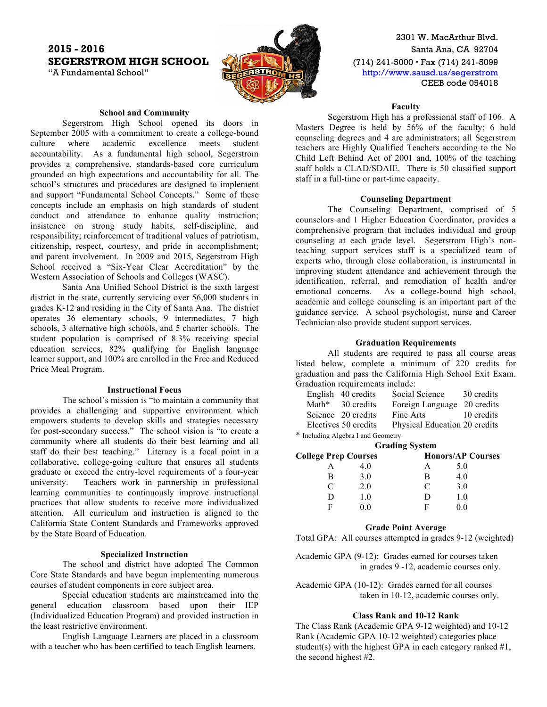# **2015 - 2016** Santa Ana, CA 92704 **SEGERSTROM HIGH SCHOOL** (10) 241-5000 Fax (714) 241-5099



2301 W. MacArthur Blvd. "A Fundamental School" **http://www.sausd.us/segerstrom** CEEB code 054018

### **School and Community**

Segerstrom High School opened its doors in September 2005 with a commitment to create a college-bound culture where academic excellence meets student accountability. As a fundamental high school, Segerstrom provides a comprehensive, standards-based core curriculum grounded on high expectations and accountability for all. The school's structures and procedures are designed to implement and support "Fundamental School Concepts." Some of these concepts include an emphasis on high standards of student conduct and attendance to enhance quality instruction; insistence on strong study habits, self-discipline, and responsibility; reinforcement of traditional values of patriotism, citizenship, respect, courtesy, and pride in accomplishment; and parent involvement. In 2009 and 2015, Segerstrom High School received a "Six-Year Clear Accreditation" by the Western Association of Schools and Colleges (WASC).

Santa Ana Unified School District is the sixth largest district in the state, currently servicing over 56,000 students in grades K-12 and residing in the City of Santa Ana. The district operates 36 elementary schools, 9 intermediates, 7 high schools, 3 alternative high schools, and 5 charter schools. The student population is comprised of 8.3% receiving special education services, 82% qualifying for English language learner support, and 100% are enrolled in the Free and Reduced Price Meal Program.

### **Instructional Focus**

The school's mission is "to maintain a community that provides a challenging and supportive environment which empowers students to develop skills and strategies necessary for post-secondary success." The school vision is "to create a community where all students do their best learning and all staff do their best teaching." Literacy is a focal point in a collaborative, college-going culture that ensures all students graduate or exceed the entry-level requirements of a four-year university. Teachers work in partnership in professional learning communities to continuously improve instructional practices that allow students to receive more individualized attention. All curriculum and instruction is aligned to the California State Content Standards and Frameworks approved by the State Board of Education.

#### **Specialized Instruction**

The school and district have adopted The Common Core State Standards and have begun implementing numerous courses of student components in core subject area.

Special education students are mainstreamed into the general education classroom based upon their IEP (Individualized Education Program) and provided instruction in the least restrictive environment.

English Language Learners are placed in a classroom with a teacher who has been certified to teach English learners.

#### **Faculty**

Segerstrom High has a professional staff of 106. A Masters Degree is held by 56% of the faculty; 6 hold counseling degrees and 4 are administrators; all Segerstrom teachers are Highly Qualified Teachers according to the No Child Left Behind Act of 2001 and, 100% of the teaching staff holds a CLAD/SDAIE. There is 50 classified support staff in a full-time or part-time capacity.

### **Counseling Department**

The Counseling Department, comprised of 5 counselors and 1 Higher Education Coordinator, provides a comprehensive program that includes individual and group counseling at each grade level. Segerstrom High's nonteaching support services staff is a specialized team of experts who, through close collaboration, is instrumental in improving student attendance and achievement through the identification, referral, and remediation of health and/or emotional concerns. As a college-bound high school, academic and college counseling is an important part of the guidance service. A school psychologist, nurse and Career Technician also provide student support services.

### **Graduation Requirements**

All students are required to pass all course areas listed below, complete a minimum of 220 credits for graduation and pass the California High School Exit Exam. Graduation requirements include:

|  | English 40 credits   | Social Science                | 30 credits |
|--|----------------------|-------------------------------|------------|
|  | Math* 30 credits     | Foreign Language 20 credits   |            |
|  | Science 20 credits   | Fine Arts                     | 10 credits |
|  | Electives 50 credits | Physical Education 20 credits |            |
|  |                      |                               |            |

\* Including Algebra I and Geometry

| <b>Grading System</b>       |     |   |                          |  |  |
|-----------------------------|-----|---|--------------------------|--|--|
| <b>College Prep Courses</b> |     |   | <b>Honors/AP Courses</b> |  |  |
|                             | 40  |   | 5.0                      |  |  |
| В                           | 3.0 | В | 4.0                      |  |  |
| $\subset$                   | 20  | C | 3.0                      |  |  |
| D                           | 1.0 | Ð | 10                       |  |  |
| F                           |     | E |                          |  |  |

#### **Grade Point Average**

Total GPA: All courses attempted in grades 9-12 (weighted)

Academic GPA (9-12): Grades earned for courses taken in grades 9 -12, academic courses only.

Academic GPA (10-12): Grades earned for all courses taken in 10-12, academic courses only.

### **Class Rank and 10-12 Rank**

The Class Rank (Academic GPA 9-12 weighted) and 10-12 Rank (Academic GPA 10-12 weighted) categories place student(s) with the highest GPA in each category ranked  $#1$ , the second highest #2.